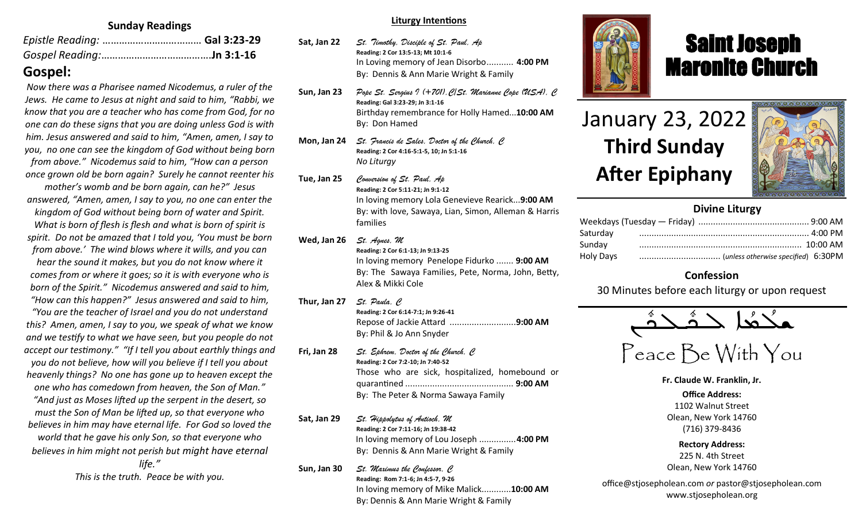### **Sunday Readings**

# **Gospel:**

*Now there was a Pharisee named Nicodemus, a ruler of the Jews. He came to Jesus at night and said to him, "Rabbi, we know that you are a teacher who has come from God, for no one can do these signs that you are doing unless God is with him. Jesus answered and said to him, "Amen, amen, I say to you, no one can see the kingdom of God without being born from above." Nicodemus said to him, "How can a person once grown old be born again? Surely he cannot reenter his mother's womb and be born again, can he?" Jesus answered, "Amen, amen, I say to you, no one can enter the kingdom of God without being born of water and Spirit. What is born of flesh is flesh and what is born of spirit is spirit. Do not be amazed that I told you, 'You must be born from above.' The wind blows where it wills, and you can hear the sound it makes, but you do not know where it comes from or where it goes; so it is with everyone who is born of the Spirit." Nicodemus answered and said to him, "How can this happen?" Jesus answered and said to him, "You are the teacher of Israel and you do not understand this? Amen, amen, I say to you, we speak of what we know and we testify to what we have seen, but you people do not accept our testimony." "If I tell you about earthly things and you do not believe, how will you believe if I tell you about heavenly things? No one has gone up to heaven except the one who has comedown from heaven, the Son of Man." "And just as Moses lifted up the serpent in the desert, so must the Son of Man be lifted up, so that everyone who believes in him may have eternal life. For God so loved the world that he gave his only Son, so that everyone who believes in him might not perish but might have eternal life." This is the truth. Peace be with you.*

#### **Liturgy Intentions**

- **Sat, Jan 22** *St. Timothy, Disciple of St. Paul, Ap* **Reading: 2 Cor 13:5-13; Mt 10:1-6** In Loving memory of Jean Disorbo........... **4:00 PM** By: Dennis & Ann Marie Wright & Family
- **Sun, Jan 23** *Pope St. Sergius I (+701),C/St. Marianne Cope (USA), C* **Reading: Gal 3:23-29; Jn 3:1-16** Birthday remembrance for Holly Hamed...**10:00 AM** By: Don Hamed
- **Mon, Jan 24** *St. Francis de Sales, Doctor of the Church, C* **Reading: 2 Cor 4:16-5:1-5, 10; Jn 5:1-16** *No Liturgy*
- **Tue, Jan 25** *Conversion of St. Paul, Ap* **Reading: 2 Cor 5:11-21; Jn 9:1-12** In loving memory Lola Genevieve Rearick...**9:00 AM** By: with love, Sawaya, Lian, Simon, Alleman & Harris families
- **Wed, Jan 26** *St. Agnes, M* **Reading: 2 Cor 6:1-13; Jn 9:13-25** In loving memory Penelope Fidurko ....... **9:00 AM** By: The Sawaya Families, Pete, Norma, John, Betty, Alex & Mikki Cole
- **Thur, Jan 27** *St. Paula, C* **Reading: 2 Cor 6:14-7:1; Jn 9:26-41** Repose of Jackie Attard ...........................**9:00 AM**  By: Phil & Jo Ann Snyder
- **Fri, Jan 28** *St. Ephrem, Doctor of the Church, C* **Reading: 2 Cor 7:2-10; Jn 7:40-52** Those who are sick, hospitalized, homebound or quarantined ............................................ **9:00 AM** By: The Peter & Norma Sawaya Family
- **Sat, Jan 29** *St. Hippolytus of Antioch, M* **Reading: 2 Cor 7:11-16; Jn 19:38-42** In loving memory of Lou Joseph ...............**4:00 PM** By: Dennis & Ann Marie Wright & Family

**Sun, Jan 30** *St. Maximus the Confessor, C* **Reading: Rom 7:1-6; Jn 4:5-7, 9-26** In loving memory of Mike Malick............**10:00 AM** By: Dennis & Ann Marie Wright & Family



# Saint Joseph Maronite Church

# January 23, 2022 **Third Sunday After Epiphany**

ī



## **Divine Liturgy**

| Saturday  |  |
|-----------|--|
| Sunday    |  |
| Holy Days |  |

## **Confession**

30 Minutes before each liturgy or upon request

$$
\overbrace{\text{minimize}}^{\text{max}} \angle
$$

Peace Be With You

**Fr. Claude W. Franklin, Jr.**

**Office Address:** 1102 Walnut Street Olean, New York 14760 (716) 379-8436

**Rectory Address:** 225 N. 4th Street Olean, New York 14760

office@stjosepholean.com *or* pastor@stjosepholean.com www.stjosepholean.org